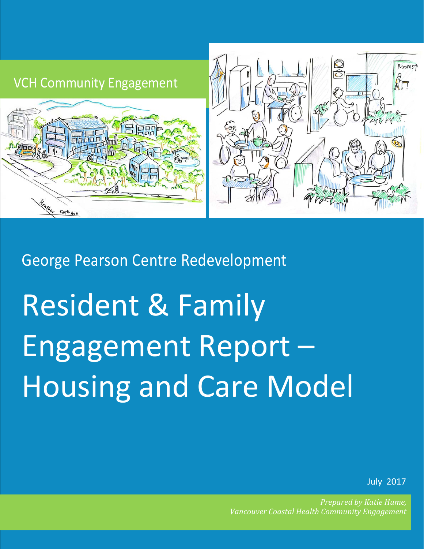

## George Pearson Centre Redevelopment

# Resident & Family Engagement Report – Housing and Care Model

July 2017

*Prepared by Katie Hume, Vancouver Coastal Health Community Engagement*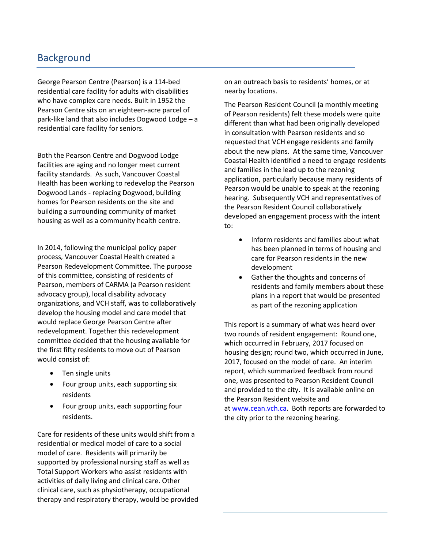## **Background**

George Pearson Centre (Pearson) is a 114-bed residential care facility for adults with disabilities who have complex care needs. Built in 1952 the Pearson Centre sits on an eighteen-acre parcel of park-like land that also includes Dogwood Lodge – a residential care facility for seniors.

Both the Pearson Centre and Dogwood Lodge facilities are aging and no longer meet current facility standards. As such, Vancouver Coastal Health has been working to redevelop the Pearson Dogwood Lands - replacing Dogwood, building homes for Pearson residents on the site and building a surrounding community of market housing as well as a community health centre.

In 2014, following the municipal policy paper process, Vancouver Coastal Health created a Pearson Redevelopment Committee. The purpose of this committee, consisting of residents of Pearson, members of CARMA (a Pearson resident advocacy group), local disability advocacy organizations, and VCH staff, was to collaboratively develop the housing model and care model that would replace George Pearson Centre after redevelopment. Together this redevelopment committee decided that the housing available for the first fifty residents to move out of Pearson would consist of:

- Ten single units
- Four group units, each supporting six residents
- Four group units, each supporting four residents.

Care for residents of these units would shift from a residential or medical model of care to a social model of care. Residents will primarily be supported by professional nursing staff as well as Total Support Workers who assist residents with activities of daily living and clinical care. Other clinical care, such as physiotherapy, occupational therapy and respiratory therapy, would be provided on an outreach basis to residents' homes, or at nearby locations.

The Pearson Resident Council (a monthly meeting of Pearson residents) felt these models were quite different than what had been originally developed in consultation with Pearson residents and so requested that VCH engage residents and family about the new plans. At the same time, Vancouver Coastal Health identified a need to engage residents and families in the lead up to the rezoning application, particularly because many residents of Pearson would be unable to speak at the rezoning hearing. Subsequently VCH and representatives of the Pearson Resident Council collaboratively developed an engagement process with the intent to:

- Inform residents and families about what has been planned in terms of housing and care for Pearson residents in the new development
- Gather the thoughts and concerns of residents and family members about these plans in a report that would be presented as part of the rezoning application

This report is a summary of what was heard over two rounds of resident engagement: Round one, which occurred in February, 2017 focused on housing design; round two, which occurred in June, 2017, focused on the model of care. An interim report, which summarized feedback from round one, was presented to Pearson Resident Council and provided to the city. It is available online on the Pearson Resident website and at [www.cean.vch.ca.](http://www.cean.vch.ca/) Both reports are forwarded to the city prior to the rezoning hearing.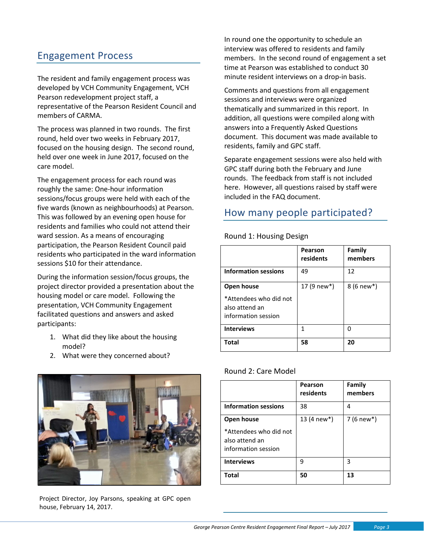## Engagement Process

The resident and family engagement process was developed by VCH Community Engagement, VCH Pearson redevelopment project staff, a representative of the Pearson Resident Council and members of CARMA.

The process was planned in two rounds. The first round, held over two weeks in February 2017, focused on the housing design. The second round, held over one week in June 2017, focused on the care model.

The engagement process for each round was roughly the same: One-hour information sessions/focus groups were held with each of the five wards (known as neighbourhoods) at Pearson. This was followed by an evening open house for residents and families who could not attend their ward session. As a means of encouraging participation, the Pearson Resident Council paid residents who participated in the ward information sessions \$10 for their attendance.

During the information session/focus groups, the project director provided a presentation about the housing model or care model. Following the presentation, VCH Community Engagement facilitated questions and answers and asked participants:

- 1. What did they like about the housing model?
- 2. What were they concerned about?



Project Director, Joy Parsons, speaking at GPC open house, February 14, 2017.

In round one the opportunity to schedule an interview was offered to residents and family members. In the second round of engagement a set time at Pearson was established to conduct 30 minute resident interviews on a drop-in basis.

Comments and questions from all engagement sessions and interviews were organized thematically and summarized in this report. In addition, all questions were compiled along with answers into a Frequently Asked Questions document. This document was made available to residents, family and GPC staff.

Separate engagement sessions were also held with GPC staff during both the February and June rounds. The feedback from staff is not included here. However, all questions raised by staff were included in the FAQ document.

### How many people participated?

#### Round 1: Housing Design

|                                                                 | Pearson<br>residents | Family<br>members        |
|-----------------------------------------------------------------|----------------------|--------------------------|
| <b>Information sessions</b>                                     | 49                   | 12                       |
| Open house                                                      | 17 (9 new*)          | $8(6$ new <sup>*</sup> ) |
| *Attendees who did not<br>also attend an<br>information session |                      |                          |
| <b>Interviews</b>                                               | 1                    | ŋ                        |
| Total                                                           | 58                   | 20                       |

#### Round 2: Care Model

|                                                                 | Pearson<br>residents | Family<br>members         |
|-----------------------------------------------------------------|----------------------|---------------------------|
| <b>Information sessions</b>                                     | 38                   | 4                         |
| Open house                                                      | 13 (4 new*)          | 7 $(6$ new <sup>*</sup> ) |
| *Attendees who did not<br>also attend an<br>information session |                      |                           |
| <b>Interviews</b>                                               | ٩                    | 3                         |
| <b>Total</b>                                                    | 50                   | 13                        |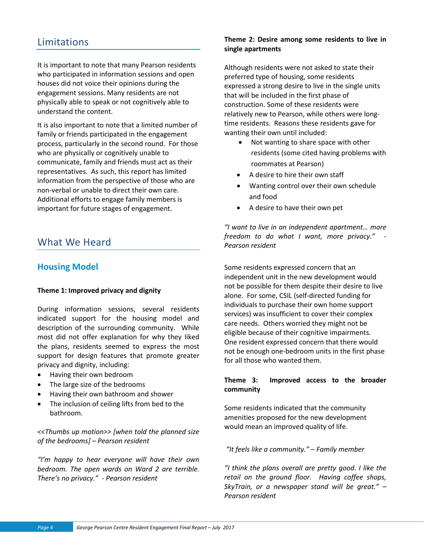## Limitations

It is important to note that many Pearson residents who participated in information sessions and open houses did not voice their opinions during the engagement sessions. Many residents are not physically able to speak or not cognitively able to understand the content.

It is also important to note that a limited number of family or friends participated in the engagement process, particularly in the second round. For those who are physically or cognitively unable to communicate, family and friends must act as their representatives. As such, this report has limited information from the perspective of those who are non-verbal or unable to direct their own care. Additional efforts to engage family members is important for future stages of engagement.

## What We Heard

#### **Housing Model**

#### **Theme 1: Improved privacy and dignity**

During information sessions, several residents indicated support for the housing model and description of the surrounding community. While most did not offer explanation for why they liked the plans, residents seemed to express the most support for design features that promote greater privacy and dignity, including:

- Having their own bedroom
- The large size of the bedrooms
- Having their own bathroom and shower
- The inclusion of ceiling lifts from bed to the bathroom.

*<<Thumbs up motion>> [when told the planned size of the bedrooms] – Pearson resident*

*"I'm happy to hear everyone will have their own bedroom. The open wards on Ward 2 are terrible. There's no privacy." - Pearson resident*

#### **Theme 2: Desire among some residents to live in single apartments**

Although residents were not asked to state their preferred type of housing, some residents expressed a strong desire to live in the single units that will be included in the first phase of construction. Some of these residents were relatively new to Pearson, while others were longtime residents. Reasons these residents gave for wanting their own until included:

- Not wanting to share space with other residents (some cited having problems with roommates at Pearson)
- A desire to hire their own staff
- Wanting control over their own schedule and food
- A desire to have their own pet

*"I want to live in an independent apartment… more freedom to do what I want, more privacy." - Pearson resident*

Some residents expressed concern that an independent unit in the new development would not be possible for them despite their desire to live alone. For some, CSIL (self-directed funding for individuals to purchase their own home support services) was insufficient to cover their complex care needs. Others worried they might not be eligible because of their cognitive impairments. One resident expressed concern that there would not be enough one-bedroom units in the first phase for all those who wanted them.

#### **Theme 3: Improved access to the broader community**

Some residents indicated that the community amenities proposed for the new development would mean an improved quality of life.

#### *"It feels like a community." – Family member*

*"I think the plans overall are pretty good. I like the retail on the ground floor. Having coffee shops, SkyTrain, or a newspaper stand will be great." – Pearson resident*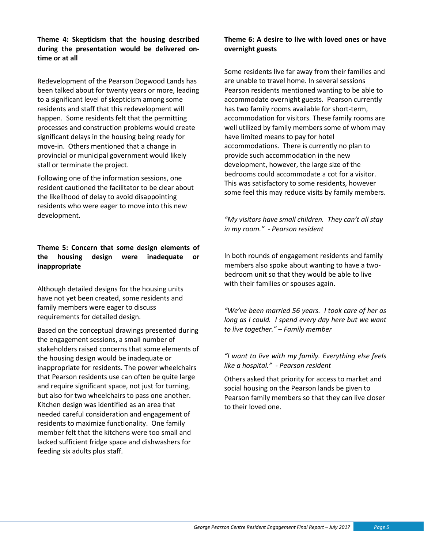**Theme 4: Skepticism that the housing described during the presentation would be delivered ontime or at all**

Redevelopment of the Pearson Dogwood Lands has been talked about for twenty years or more, leading to a significant level of skepticism among some residents and staff that this redevelopment will happen. Some residents felt that the permitting processes and construction problems would create significant delays in the housing being ready for move-in. Others mentioned that a change in provincial or municipal government would likely stall or terminate the project.

Following one of the information sessions, one resident cautioned the facilitator to be clear about the likelihood of delay to avoid disappointing residents who were eager to move into this new development.

#### **Theme 5: Concern that some design elements of the housing design were inadequate or inappropriate**

Although detailed designs for the housing units have not yet been created, some residents and family members were eager to discuss requirements for detailed design.

Based on the conceptual drawings presented during the engagement sessions, a small number of stakeholders raised concerns that some elements of the housing design would be inadequate or inappropriate for residents. The power wheelchairs that Pearson residents use can often be quite large and require significant space, not just for turning, but also for two wheelchairs to pass one another. Kitchen design was identified as an area that needed careful consideration and engagement of residents to maximize functionality. One family member felt that the kitchens were too small and lacked sufficient fridge space and dishwashers for feeding six adults plus staff.

#### **Theme 6: A desire to live with loved ones or have overnight guests**

Some residents live far away from their families and are unable to travel home. In several sessions Pearson residents mentioned wanting to be able to accommodate overnight guests. Pearson currently has two family rooms available for short-term, accommodation for visitors. These family rooms are well utilized by family members some of whom may have limited means to pay for hotel accommodations. There is currently no plan to provide such accommodation in the new development, however, the large size of the bedrooms could accommodate a cot for a visitor. This was satisfactory to some residents, however some feel this may reduce visits by family members.

*"My visitors have small children. They can't all stay in my room." - Pearson resident*

In both rounds of engagement residents and family members also spoke about wanting to have a twobedroom unit so that they would be able to live with their families or spouses again.

*"We've been married 56 years. I took care of her as long as I could. I spend every day here but we want to live together." – Family member*

*"I want to live with my family. Everything else feels like a hospital." - Pearson resident*

Others asked that priority for access to market and social housing on the Pearson lands be given to Pearson family members so that they can live closer to their loved one.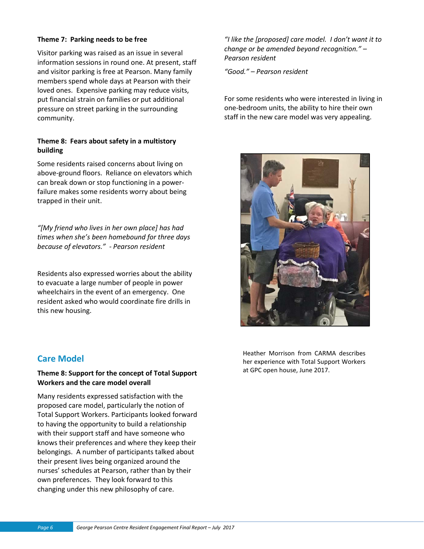#### **Theme 7: Parking needs to be free**

Visitor parking was raised as an issue in several information sessions in round one. At present, staff and visitor parking is free at Pearson. Many family members spend whole days at Pearson with their loved ones. Expensive parking may reduce visits, put financial strain on families or put additional pressure on street parking in the surrounding community.

#### **Theme 8: Fears about safety in a multistory building**

Some residents raised concerns about living on above-ground floors. Reliance on elevators which can break down or stop functioning in a powerfailure makes some residents worry about being trapped in their unit.

*"[My friend who lives in her own place] has had times when she's been homebound for three days because of elevators." - Pearson resident*

Residents also expressed worries about the ability to evacuate a large number of people in power wheelchairs in the event of an emergency. One resident asked who would coordinate fire drills in this new housing.

#### **Care Model**

#### **Theme 8: Support for the concept of Total Support Workers and the care model overall**

Many residents expressed satisfaction with the proposed care model, particularly the notion of Total Support Workers. Participants looked forward to having the opportunity to build a relationship with their support staff and have someone who knows their preferences and where they keep their belongings. A number of participants talked about their present lives being organized around the nurses' schedules at Pearson, rather than by their own preferences. They look forward to this changing under this new philosophy of care.

*"I like the [proposed] care model. I don't want it to change or be amended beyond recognition." – Pearson resident*

*"Good." – Pearson resident*

For some residents who were interested in living in one-bedroom units, the ability to hire their own staff in the new care model was very appealing.



Heather Morrison from CARMA describes her experience with Total Support Workers at GPC open house, June 2017.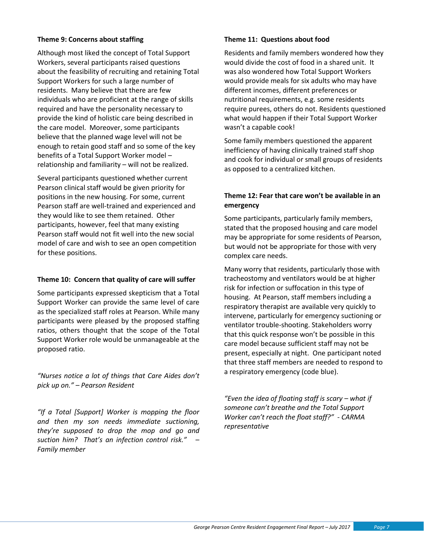#### **Theme 9: Concerns about staffing**

Although most liked the concept of Total Support Workers, several participants raised questions about the feasibility of recruiting and retaining Total Support Workers for such a large number of residents. Many believe that there are few individuals who are proficient at the range of skills required and have the personality necessary to provide the kind of holistic care being described in the care model. Moreover, some participants believe that the planned wage level will not be enough to retain good staff and so some of the key benefits of a Total Support Worker model – relationship and familiarity – will not be realized.

Several participants questioned whether current Pearson clinical staff would be given priority for positions in the new housing. For some, current Pearson staff are well-trained and experienced and they would like to see them retained. Other participants, however, feel that many existing Pearson staff would not fit well into the new social model of care and wish to see an open competition for these positions.

#### **Theme 10: Concern that quality of care will suffer**

Some participants expressed skepticism that a Total Support Worker can provide the same level of care as the specialized staff roles at Pearson. While many participants were pleased by the proposed staffing ratios, others thought that the scope of the Total Support Worker role would be unmanageable at the proposed ratio.

*"Nurses notice a lot of things that Care Aides don't pick up on." – Pearson Resident*

*"If a Total [Support] Worker is mopping the floor and then my son needs immediate suctioning, they're supposed to drop the mop and go and suction him? That's an infection control risk." – Family member*

#### **Theme 11: Questions about food**

Residents and family members wondered how they would divide the cost of food in a shared unit. It was also wondered how Total Support Workers would provide meals for six adults who may have different incomes, different preferences or nutritional requirements, e.g. some residents require purees, others do not. Residents questioned what would happen if their Total Support Worker wasn't a capable cook!

Some family members questioned the apparent inefficiency of having clinically trained staff shop and cook for individual or small groups of residents as opposed to a centralized kitchen.

#### **Theme 12: Fear that care won't be available in an emergency**

Some participants, particularly family members, stated that the proposed housing and care model may be appropriate for some residents of Pearson, but would not be appropriate for those with very complex care needs.

Many worry that residents, particularly those with tracheostomy and ventilators would be at higher risk for infection or suffocation in this type of housing. At Pearson, staff members including a respiratory therapist are available very quickly to intervene, particularly for emergency suctioning or ventilator trouble-shooting. Stakeholders worry that this quick response won't be possible in this care model because sufficient staff may not be present, especially at night. One participant noted that three staff members are needed to respond to a respiratory emergency (code blue).

*"Even the idea of floating staff is scary – what if someone can't breathe and the Total Support Worker can't reach the float staff?" - CARMA representative*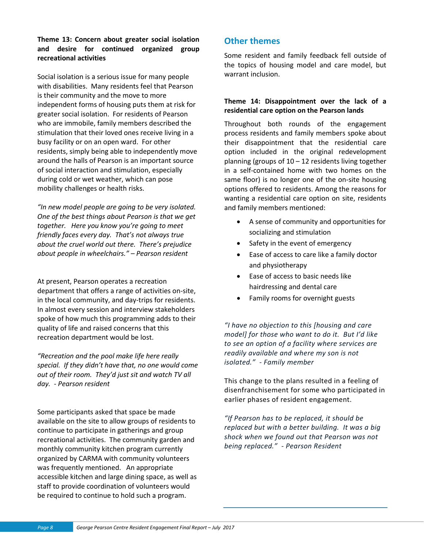#### **Theme 13: Concern about greater social isolation and desire for continued organized group recreational activities**

Social isolation is a serious issue for many people with disabilities. Many residents feel that Pearson is their community and the move to more independent forms of housing puts them at risk for greater social isolation. For residents of Pearson who are immobile, family members described the stimulation that their loved ones receive living in a busy facility or on an open ward. For other residents, simply being able to independently move around the halls of Pearson is an important source of social interaction and stimulation, especially during cold or wet weather, which can pose mobility challenges or health risks.

*"In new model people are going to be very isolated. One of the best things about Pearson is that we get together. Here you know you're going to meet friendly faces every day. That's not always true about the cruel world out there. There's prejudice about people in wheelchairs." – Pearson resident* 

At present, Pearson operates a recreation department that offers a range of activities on-site, in the local community, and day-trips for residents. In almost every session and interview stakeholders spoke of how much this programming adds to their quality of life and raised concerns that this recreation department would be lost.

*"Recreation and the pool make life here really special. If they didn't have that, no one would come out of their room. They'd just sit and watch TV all day. - Pearson resident*

Some participants asked that space be made available on the site to allow groups of residents to continue to participate in gatherings and group recreational activities. The community garden and monthly community kitchen program currently organized by CARMA with community volunteers was frequently mentioned. An appropriate accessible kitchen and large dining space, as well as staff to provide coordination of volunteers would be required to continue to hold such a program.

#### **Other themes**

Some resident and family feedback fell outside of the topics of housing model and care model, but warrant inclusion.

#### **Theme 14: Disappointment over the lack of a residential care option on the Pearson lands**

Throughout both rounds of the engagement process residents and family members spoke about their disappointment that the residential care option included in the original redevelopment planning (groups of  $10 - 12$  residents living together in a self-contained home with two homes on the same floor) is no longer one of the on-site housing options offered to residents. Among the reasons for wanting a residential care option on site, residents and family members mentioned:

- A sense of community and opportunities for socializing and stimulation
- Safety in the event of emergency
- Ease of access to care like a family doctor and physiotherapy
- Ease of access to basic needs like hairdressing and dental care
- Family rooms for overnight guests

*"I have no objection to this [housing and care model] for those who want to do it. But I'd like to see an option of a facility where services are readily available and where my son is not isolated." - Family member*

This change to the plans resulted in a feeling of disenfranchisement for some who participated in earlier phases of resident engagement.

*"If Pearson has to be replaced, it should be replaced but with a better building. It was a big shock when we found out that Pearson was not being replaced." - Pearson Resident*